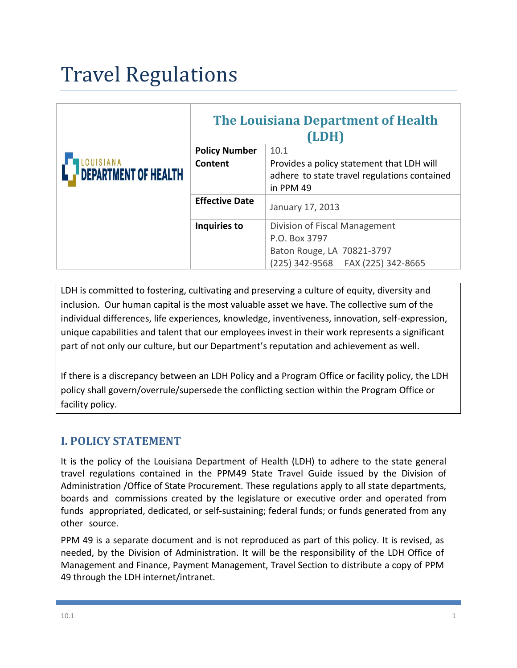# Travel Regulations

| <b>DEPARTMENT OF HEALTH</b> | <b>The Louisiana Department of Health</b><br>(LDH) |                                                                                                        |
|-----------------------------|----------------------------------------------------|--------------------------------------------------------------------------------------------------------|
|                             | <b>Policy Number</b>                               | 10.1                                                                                                   |
|                             | Content                                            | Provides a policy statement that LDH will<br>adhere to state travel regulations contained<br>in PPM 49 |
|                             | <b>Effective Date</b>                              | January 17, 2013                                                                                       |
|                             | Inquiries to                                       | Division of Fiscal Management                                                                          |
|                             |                                                    | P.O. Box 3797                                                                                          |
|                             |                                                    | Baton Rouge, LA 70821-3797                                                                             |
|                             |                                                    | (225) 342-9568   FAX (225) 342-8665                                                                    |

LDH is committed to fostering, cultivating and preserving a culture of equity, diversity and inclusion. Our human capital is the most valuable asset we have. The collective sum of the individual differences, life experiences, knowledge, inventiveness, innovation, self-expression, unique capabilities and talent that our employees invest in their work represents a significant part of not only our culture, but our Department's reputation and achievement as well.

If there is a discrepancy between an LDH Policy and a Program Office or facility policy, the LDH policy shall govern/overrule/supersede the conflicting section within the Program Office or facility policy.

## **I. POLICY STATEMENT**

It is the policy of the Louisiana Department of Health (LDH) to adhere to the state general travel regulations contained in the PPM49 State Travel Guide issued by the Division of Administration /Office of State Procurement. These regulations apply to all state departments, boards and commissions created by the legislature or executive order and operated from funds appropriated, dedicated, or self-sustaining; federal funds; or funds generated from any other source.

PPM 49 is a separate document and is not reproduced as part of this policy. It is revised, as needed, by the Division of Administration. It will be the responsibility of the LDH Office of Management and Finance, Payment Management, Travel Section to distribute a copy of PPM 49 through the LDH internet/intranet.